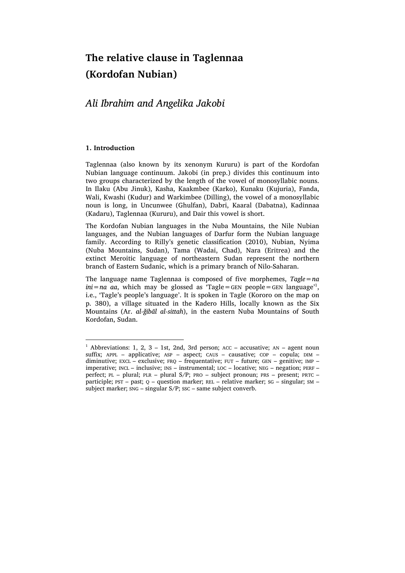# **The relative clause in Taglennaa (Kordofan Nubian)**

# *Ali Ibrahim and Angelika Jakobi*

# **1. Introduction**

Taglennaa (also known by its xenonym Kururu) is part of the Kordofan Nubian language continuum. Jakobi (in prep.) divides this continuum into two groups characterized by the length of the vowel of monosyllabic nouns. In Ilaku (Abu Jinuk), Kasha, Kaakmbee (Karko), Kunaku (Kujuria), Fanda, Wali, Kwashi (Kudur) and Warkimbee (Dilling), the vowel of a monosyllabic noun is long, in Uncunwee (Ghulfan), Dabri, Kaaral (Dabatna), Kadinnaa (Kadaru), Taglennaa (Kururu), and Dair this vowel is short.

The Kordofan Nubian languages in the Nuba Mountains, the Nile Nubian languages, and the Nubian languages of Darfur form the Nubian language family. According to Rilly's genetic classification (2010), Nubian, Nyima (Nuba Mountains, Sudan), Tama (Wadai, Chad), Nara (Eritrea) and the extinct Meroitic language of northeastern Sudan represent the northern branch of Eastern Sudanic, which is a primary branch of Nilo-Saharan.

The language name Taglennaa is composed of five morphemes, *Tagle=na ini=na aa*, which may be glossed as 'Tagle=GEN people=GEN language'1 , i.e., 'Tagle's people's language'. It is spoken in Tagle (Kororo on the map on p. 380), a village situated in the Kadero Hills, locally known as the Six Mountains (Ar. *al-ǧibāl al-sittah*), in the eastern Nuba Mountains of South Kordofan, Sudan.

<sup>&</sup>lt;sup>1</sup> Abbreviations: 1, 2, 3 – 1st, 2nd, 3rd person;  $ACC - accusative$ ;  $AN - agent$  noun suffix; APPL – applicative; ASP – aspect; CAUS – causative; COP – copula;  $DIM$  – diminutive; EXCL – exclusive; FRQ – frequentative; FUT – future; GEN – genitive; IMP – imperative; INCL – inclusive; INS – instrumental; LOC – locative; NEG – negation; PERF – perfect; PL – plural; PLR – plural S/P; PRO – subject pronoun; PRS – present; PRTC – participle; PST – past; Q – question marker; REL – relative marker; SG – singular; SM – subject marker; SNG – singular S/P; SSC – same subject converb.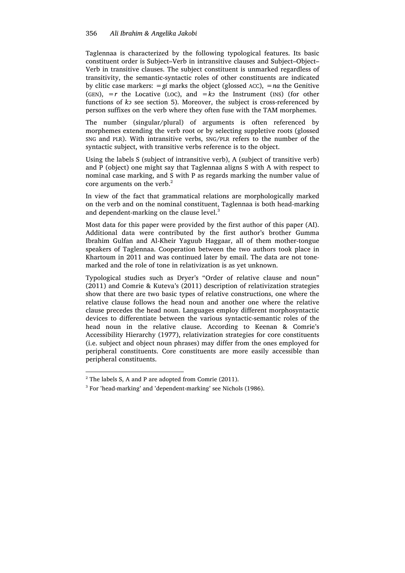Taglennaa is characterized by the following typological features. Its basic constituent order is Subject–Verb in intransitive clauses and Subject–Object– Verb in transitive clauses. The subject constituent is unmarked regardless of transitivity, the semantic-syntactic roles of other constituents are indicated by clitic case markers: *=gi* marks the object (glossed ACC), *=na* the Genitive (GEN),  $=r$  the Locative (LOC), and  $=k$ <sup>2</sup> the Instrument (INS) (for other functions of *kɔ* see section 5). Moreover, the subject is cross-referenced by person suffixes on the verb where they often fuse with the TAM morphemes.

The number (singular/plural) of arguments is often referenced by morphemes extending the verb root or by selecting suppletive roots (glossed SNG and PLR). With intransitive verbs, SNG/PLR refers to the number of the syntactic subject, with transitive verbs reference is to the object.

Using the labels S (subject of intransitive verb), A (subject of transitive verb) and P (object) one might say that Taglennaa aligns S with A with respect to nominal case marking, and S with P as regards marking the number value of core arguments on the verb.<sup>2</sup>

In view of the fact that grammatical relations are morphologically marked on the verb and on the nominal constituent, Taglennaa is both head-marking and dependent-marking on the clause level.<sup>3</sup>

Most data for this paper were provided by the first author of this paper (AI). Additional data were contributed by the first author's brother Gumma Ibrahim Gulfan and Al-Kheir Yaguub Haggaar, all of them mother-tongue speakers of Taglennaa. Cooperation between the two authors took place in Khartoum in 2011 and was continued later by email. The data are not tonemarked and the role of tone in relativization is as yet unknown.

Typological studies such as Dryer's "Order of relative clause and noun" (2011) and Comrie & Kuteva's (2011) description of relativization strategies show that there are two basic types of relative constructions, one where the relative clause follows the head noun and another one where the relative clause precedes the head noun. Languages employ different morphosyntactic devices to differentiate between the various syntactic-semantic roles of the head noun in the relative clause. According to Keenan & Comrie's Accessibility Hierarchy (1977), relativization strategies for core constituents (i.e. subject and object noun phrases) may differ from the ones employed for peripheral constituents. Core constituents are more easily accessible than peripheral constituents.

 $2$  The labels S, A and P are adopted from Comrie (2011).

<sup>3</sup> For 'head-marking' and 'dependent-marking' see Nichols (1986).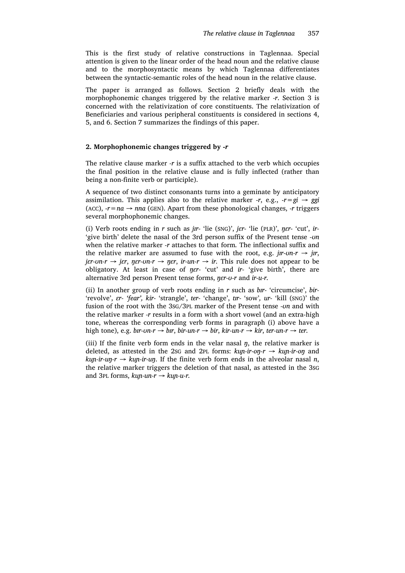This is the first study of relative constructions in Taglennaa. Special attention is given to the linear order of the head noun and the relative clause and to the morphosyntactic means by which Taglennaa differentiates between the syntactic-semantic roles of the head noun in the relative clause.

The paper is arranged as follows. Section 2 briefly deals with the morphophonemic changes triggered by the relative marker *-r*. Section 3 is concerned with the relativization of core constituents. The relativization of Beneficiaries and various peripheral constituents is considered in sections 4, 5, and 6. Section 7 summarizes the findings of this paper.

# **2. Morphophonemic changes triggered by** *-r*

The relative clause marker *-r* is a suffix attached to the verb which occupies the final position in the relative clause and is fully inflected (rather than being a non-finite verb or participle).

A sequence of two distinct consonants turns into a geminate by anticipatory assimilation. This applies also to the relative marker  $-r$ , e.g.,  $-r=gi \rightarrow ggi$ (ACC),  $-r=na \rightarrow nna$  (GEN). Apart from these phonological changes,  $-r$  triggers several morphophonemic changes.

(i) Verb roots ending in *r* such as *jɪr-* 'lie (SNG)', *jɛr-* 'lie (PLR)', *ŋɛr-* 'cut', *ir-* 'give birth' delete the nasal of the 3rd person suffix of the Present tense *-ʊn* when the relative marker *-r* attaches to that form*.* The inflectional suffix and the relative marker are assumed to fuse with the root, e.g.  $j\pi$ - $\sigma$ *r*  $\rightarrow$   $j\pi$ ,  $j$ *er-vn-r*  $\rightarrow$  *jer*, *ner-vn-r*  $\rightarrow$  *ner*, *ir-un-r*  $\rightarrow$  *ir.* This rule does not appear to be obligatory. At least in case of *ŋɛr-* 'cut' and *ir-* 'give birth', there are alternative 3rd person Present tense forms, *ŋɛr-ʊ-r* and *ir-u-r.*

(ii) In another group of verb roots ending in *r* such as *bɪr-* 'circumcise', *bir-* 'revolve', *ɛr- 'fear', kir-* 'strangle', *ter-* 'change', *tɪr-* 'sow'*, ur-* 'kill (SNG)' the fusion of the root with the 3SG/3PL marker of the Present tense *-ʊn* and with the relative marker *-r* results in a form with a short vowel (and an extra-high tone, whereas the corresponding verb forms in paragraph (i) above have a high tone), e.g. *bx*<sup>*-*</sup>*vn-r*  $\rightarrow$  *bx*<sup>*r*</sup>, *bir-un-r*  $\rightarrow$  *bir*, *kir-un-r*  $\rightarrow$  *kir*, *ter-un-r*  $\rightarrow$  *ter.* 

(iii) If the finite verb form ends in the velar nasal *ŋ*, the relative marker is deleted, as attested in the 2SG and 2PL forms: *kuɲ-ir-oŋ-r → kuɲ-ir-oŋ* and  $kup$ *-ir-un-r*  $\rightarrow$   $kup$ *-ir-un*. If the finite verb form ends in the alveolar nasal *n*, the relative marker triggers the deletion of that nasal, as attested in the 3SG and 3PL forms,  $kup$ *-un-r*  $\rightarrow$   $kup$ *-u-r*.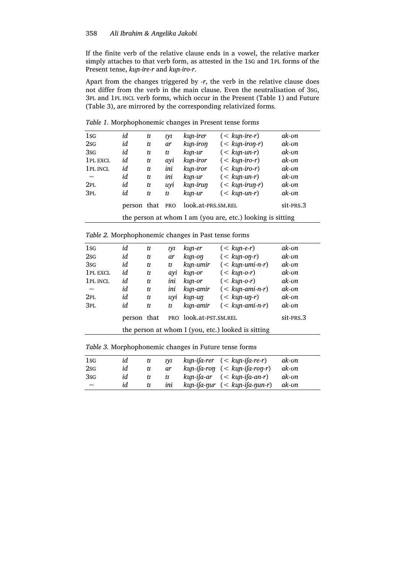If the finite verb of the relative clause ends in a vowel, the relative marker simply attaches to that verb form, as attested in the 1SG and 1PL forms of the Present tense, *kuɲ-ire-r* and *kuɲ-iro-r*.

Apart from the changes triggered by *-r*, the verb in the relative clause does not differ from the verb in the main clause. Even the neutralisation of 3SG, 3PL and 1PL INCL verb forms, which occur in the Present (Table 1) and Future (Table 3), are mirrored by the corresponding relativized forms.

| 1sg                       | id                                                         | tI  | <b>IVI</b> | kun-irer           | $(<$ kun-ire-r)  | ak-on            |
|---------------------------|------------------------------------------------------------|-----|------------|--------------------|------------------|------------------|
| 2s <sub>G</sub>           | id                                                         | tI  | <b>ar</b>  | kun-iron           | $(<$ kun-iron-r) | ak-on            |
| 3 <sub>SG</sub>           | id                                                         | tI  | tI         | kun-ur             | $(<$ kun-un-r)   | ak-on            |
| 1PL EXCL                  | id                                                         | tI  | ayi        | kun-iror           | $(<$ kun-iro-r)  | ak-on            |
| 1 PL INCL                 | id                                                         | tI  | ini        | kun-iror           | $(<$ kun-iro-r)  | $ak$ - $\iota$ m |
| $\widetilde{\phantom{m}}$ | id                                                         | $1$ | ini        | kun-ur             | $(<$ kun-un-r)   | ak-on            |
| 2PL                       | id                                                         | $1$ | uyi        | kun-irun           | $(<$ kun-irun-r) | ak-on            |
| 3 <sub>PL</sub>           | id                                                         | tI  | tI         | kun-ur             | $(<$ kun-un-r)   | ak-on            |
|                           | person that                                                |     | <b>PRO</b> | look.at-PRS.SM.REL |                  | sit-PRS.3        |
|                           | the person at whom I am (you are, etc.) looking is sitting |     |            |                    |                  |                  |

*Table 1.* Morphophonemic changes in Present tense forms

|  |  | Table 2. Morphophonemic changes in Past tense forms |  |  |
|--|--|-----------------------------------------------------|--|--|
|--|--|-----------------------------------------------------|--|--|

| $1_{SG}$                  | id                                                 | tI  | IΜ  | kun-er                    | $(<$ kun-e-r)     | ak-on     |
|---------------------------|----------------------------------------------------|-----|-----|---------------------------|-------------------|-----------|
| 2s <sub>G</sub>           | id                                                 | tI  | ar  | kun-on                    | $(<$ kun-on-r)    | ak-on     |
| 3sg                       | id                                                 | tI  | tI  | kun-umir                  | $(<$ kun-umi-n-r) | ak-un     |
| 1 PL EXCL                 | id                                                 | tI  | avi | kun-or                    | $(<$ kun-o-r)     | ak-on     |
| 1PL INCL                  | id                                                 | $1$ | ini | kun-or                    | $(<$ kun-o-r)     | ak-on     |
| $\widetilde{\phantom{m}}$ | id                                                 | $1$ | ini | kun-amir                  | $(<$ kun-ami-n-r) | ak-on     |
| 2PL                       | id                                                 | $1$ | uvi | $k$ <i>un</i> - <i>un</i> | $(<$ kun-un-r)    | ak-on     |
| 3PL                       | id                                                 | $1$ | tI  | kun-amir                  | $(<$ kun-ami-n-r) | ak-on     |
|                           | person that                                        |     |     | PRO look.at-PST.SM.REL    |                   | sit-PRS.3 |
|                           | the person at whom I (you, etc.) looked is sitting |     |     |                           |                   |           |

*Table 3.* Morphophonemic changes in Future tense forms

| 1sg             | id | tI | <b>IVI</b> | kun-ifa-rer (< kun-ifa-re-r)                      | ak-on |  |
|-----------------|----|----|------------|---------------------------------------------------|-------|--|
| 2sG             | id | tI | <i>ar</i>  | $kup$ -ifa-ron $(<$ $kup$ -ifa-ron-r)             | ak-on |  |
| 3 <sub>SG</sub> | id | tI | tI         | $kup$ -ifa-ar $(<$ $kup$ -ifa-an-r)               | ak-on |  |
| $\sim$          | id | U  | ini        | $kup$ -ifa- $\eta$ ur (< $kup$ -ifa- $\eta$ un-r) | ak-on |  |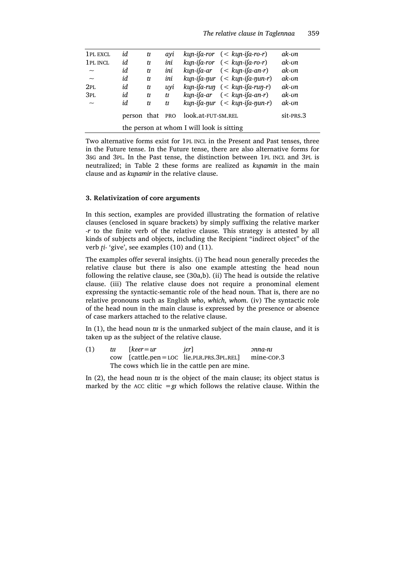| 1 PL EXCL                 | id                                        | tI | avi |                    | $kup$ -ifa-ror $( kun-ifa-ro-r)$                  | ak-on            |
|---------------------------|-------------------------------------------|----|-----|--------------------|---------------------------------------------------|------------------|
| 1PL INCL                  | id                                        | tI | ini |                    | $kup$ -ifa-ror $(kun$ -ifa-ro-r)                  | ak-vn            |
| $\widetilde{\phantom{m}}$ | id                                        | tI | ini |                    | $kup$ -ifa-ar $(kun$ -ifa-an-r)                   | $ak$ - $\iota$ m |
| $\widetilde{\phantom{m}}$ | id                                        | tI | ini |                    | $kup$ -ifa- $\eta$ ur (< $kup$ -ifa- $\eta$ un-r) | ak-on            |
| 2PL                       | id                                        | tI | uvi |                    | $kup$ -ifa-run $(<$ $kup$ -ifa-run-r)             | ak-on            |
| 3 <sub>PL</sub>           | id                                        | tI | $1$ |                    | $kup$ -ifa-ar $(kun$ -ifa-an-r)                   | ak-on            |
| $\sim$                    | id                                        | tτ | tI  |                    | $kup$ -ifa- $\eta$ ur (< $kup$ -ifa- $\eta$ un-r) | ak-on            |
|                           | person that PRO                           |    |     | look.at-fut-SM.REL |                                                   | sit-PRS.3        |
|                           | the person at whom I will look is sitting |    |     |                    |                                                   |                  |

Two alternative forms exist for 1PL INCL in the Present and Past tenses, three in the Future tense. In the Future tense, there are also alternative forms for 3SG and 3PL. In the Past tense, the distinction between 1PL INCL and 3PL is neutralized; in Table 2 these forms are realized as *kuɲamin* in the main clause and as *kuɲamir* in the relative clause.

#### **3. Relativization of core arguments**

In this section, examples are provided illustrating the formation of relative clauses (enclosed in square brackets) by simply suffixing the relative marker *-r* to the finite verb of the relative clause*.* This strategy is attested by all kinds of subjects and objects, including the Recipient "indirect object" of the verb *ʈi-* 'give', see examples (10) and (11).

The examples offer several insights. (i) The head noun generally precedes the relative clause but there is also one example attesting the head noun following the relative clause, see (30a,b). (ii) The head is outside the relative clause. (iii) The relative clause does not require a pronominal element expressing the syntactic-semantic role of the head noun. That is, there are no relative pronouns such as English *who*, *which*, *whom*. (iv) The syntactic role of the head noun in the main clause is expressed by the presence or absence of case markers attached to the relative clause.

In (1), the head noun *tɪɪ* is the unmarked subject of the main clause, and it is taken up as the subject of the relative clause.

(1)  $tr$  [keer = ur *jer*] *pnna-ni* cow [cattle.pen=LOC lie.PLR.PRS.3PL.REL] mine-COP.3 The cows which lie in the cattle pen are mine.

In (2), the head noun *tɪɪ* is the object of the main clause; its object status is marked by the ACC clitic  $=$ g*i* which follows the relative clause. Within the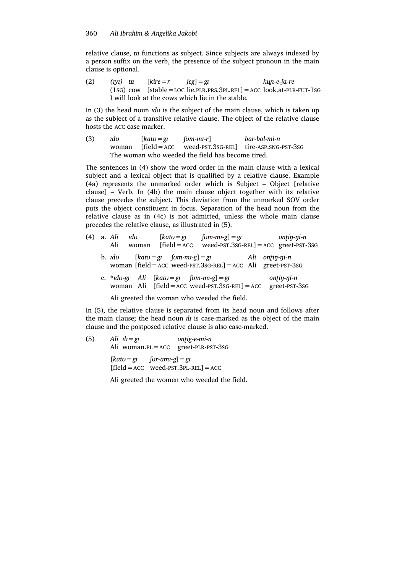relative clause, *tɪɪ* functions as subject. Since subjects are always indexed by a person suffix on the verb, the presence of the subject pronoun in the main clause is optional.

(2)  $(ryt)$   $tr = r$   $j\varepsilon g$ ]  $=gt$   $kup-e-fa-re$  $(1sG)$  cow [stable = LOC lie. PLR.PRS.  $3PL$ .REL] = ACC look. at-PLR-FUT-1SG I will look at the cows which lie in the stable.

In (3) the head noun *ɪdʊ* is the subject of the main clause, which is taken up as the subject of a transitive relative clause. The object of the relative clause hosts the ACC case marker.

(3) *ɪdʊ* [*katʊ=gɪ ʃʊm-mɪ-r*] *bar-bol-mi-n* woman [field=ACC weed-PST.3SG-REL] tire-ASP.SNG-PST-3SG The woman who weeded the field has become tired.

The sentences in (4) show the word order in the main clause with a lexical subject and a lexical object that is qualified by a relative clause. Example (4a) represents the unmarked order which is Subject – Object [relative clause] – Verb. In (4b) the main clause object together with its relative clause precedes the subject. This deviation from the unmarked SOV order puts the object constituent in focus. Separation of the head noun from the relative clause as in (4c) is not admitted, unless the whole main clause precedes the relative clause, as illustrated in (5).

|  | (4) a. <i>Ali 1du</i><br>Ali | [ $katu = gi$<br>woman $[field = ACC]$                    | $[om-mu-g]= gI$<br>$weed$ -PST.3SG-REL] = ACC greet-PST-3SG      |  | $on$ $\uparrow$ n $\uparrow$ n $\uparrow$ |  |
|--|------------------------------|-----------------------------------------------------------|------------------------------------------------------------------|--|-------------------------------------------|--|
|  |                              | b. $\text{Id}$ <i>u</i> $[katu = gi \quad [vm-m-gl] = gi$ | woman [field = $ACC$ weed-PST.3sG-REL] = $ACC$ Ali greet-PST-3sG |  | Ali ontin-ni-n                            |  |
|  |                              | c. * $\frac{1}{d}$ du-gr Ali [katu = gr [um-mi-g] = gr    | woman Ali [field = $ACC$ weed-PST.3sG-REL] = $ACC$ greet-PST-3sG |  | ontin-ni-n                                |  |

Ali greeted the woman who weeded the field.

In (5), the relative clause is separated from its head noun and follows after the main clause; the head noun *ɪlɪ* is case-marked as the object of the main clause and the postposed relative clause is also case-marked.

(5)  $\hat{A}$ *li*  $\hat{I}l = g\hat{I}$  on  $\hat{I}$ *ig-e-mi-n* Ali woman.PL=ACC greet-PLR-PST-3SG  $[katu = gi \quad for-am-g] = gi$  $[field = ACC \text{weed-PST}.3PL-REL] = ACC$ 

Ali greeted the women who weeded the field.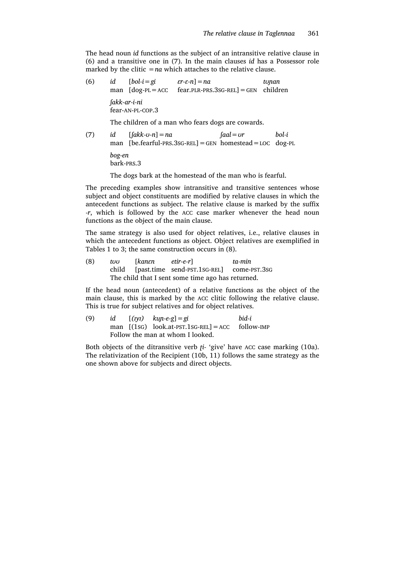The head noun *id* functions as the subject of an intransitive relative clause in (6) and a transitive one in (7). In the main clauses *id* has a Possessor role marked by the clitic  $=na$  which attaches to the relative clause.

(6) *id* [*bol-i=gi ɛr-ɛ-n*]*=na tʊɲan* man [dog-PL=ACC fear.PLR-PRS.3SG-REL]=GEN children *ʃakk-ar-i-ni* fear-AN-PL-COP.3

The children of a man who fears dogs are cowards.

(7) *id* [*ʃakk-ʊ-n*]*=na ʃaal=ʊr bol-i* man [be.fearful-PRS.3SG-REL]=GEN homestead=LOC dog-PL *bog-en* bark-PRS.3

The dogs bark at the homestead of the man who is fearful.

The preceding examples show intransitive and transitive sentences whose subject and object constituents are modified by relative clauses in which the antecedent functions as subject. The relative clause is marked by the suffix *-r*, which is followed by the ACC case marker whenever the head noun functions as the object of the main clause.

The same strategy is also used for object relatives, i.e., relative clauses in which the antecedent functions as object. Object relatives are exemplified in Tables 1 to 3; the same construction occurs in (8).

(8) *tʊʊ* [*kanɛn etir-e-r*] *ta-min* child [past.time send-PST.1SG-REL] come-PST.3SG The child that I sent some time ago has returned.

If the head noun (antecedent) of a relative functions as the object of the main clause, this is marked by the ACC clitic following the relative clause. This is true for subject relatives and for object relatives.

(9) *id* [*(ɪyɪ) kuɲ-e-g*]*=gi bid-i* man  $[(1sG)$  look.at-PST.1sG-REL] = ACC follow-IMP Follow the man at whom I looked.

Both objects of the ditransitive verb *ʈi-* 'give' have ACC case marking (10a). The relativization of the Recipient (10b, 11) follows the same strategy as the one shown above for subjects and direct objects.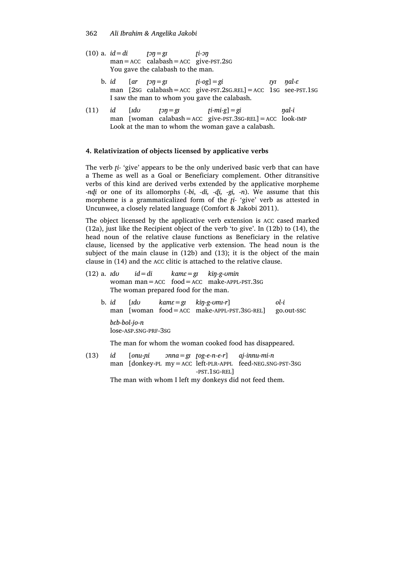- (10) a. *id=di ʈɔŋ=gɪ ʈi-ɔŋ* man=ACC calabash=ACC give-PST.2SG You gave the calabash to the man.
	- b. *id*  $[\text{ar } \text{tan} = \text{g} \text{ar } \text{tan} = \text{g} \text{ar } \text{ar } \text{tan} = \text{g} \text{ar } \text{ar } \text{ar } \text{g} = \text{g} \text{ar } \text{ar } \text{ar } \text{g} = \text{g} \text{ar } \text{ar } \text{g} = \text{g} \text{ar } \text{ar } \text{g} = \text{g} \text{ar } \text{ar } \text{g} = \text{g} \text{ar } \text{ar } \text{g} = \text{g} \text{ar } \text{g} = \text{g} \text{ar } \text$ man [2sG calabash=ACC give-PST.2SG.REL]=ACC 1SG see-PST.1SG I saw the man to whom you gave the calabash.
- (11)  $id$   $[rdv$   $f \circ \eta = g \circ f i mi g] = gi$   $\eta al i$ man [woman calabash=ACC give-PST.3SG-REL]=ACC look-IMP Look at the man to whom the woman gave a calabash.

#### **4. Relativization of objects licensed by applicative verbs**

The verb *ʈi-* 'give' appears to be the only underived basic verb that can have a Theme as well as a Goal or Beneficiary complement. Other ditransitive verbs of this kind are derived verbs extended by the applicative morpheme *-nɖi* or one of its allomorphs (*-bi*, *-di, -ɖi, -gi, -n*). We assume that this morpheme is a grammaticalized form of the *ʈi-* 'give' verb as attested in Uncunwee, a closely related language (Comfort & Jakobi 2011).

The object licensed by the applicative verb extension is ACC cased marked (12a), just like the Recipient object of the verb 'to give'. In (12b) to (14), the head noun of the relative clause functions as Beneficiary in the relative clause, licensed by the applicative verb extension. The head noun is the subject of the main clause in (12b) and (13); it is the object of the main clause in (14) and the ACC clitic is attached to the relative clause.

- (12) a.  $\mathit{idu} = \mathit{di}$   $\mathit{kame} = \mathit{gi}$   $\mathit{kip-g-omin}$ woman man=ACC food=ACC make-APPL-PST.3SG The woman prepared food for the man.
	- b. *id* [*ɪdʊ kamɛ=gɪ kiŋ-g-ʊmɪ-r*] *ol-i* man [woman food=ACC make-APPL-PST.3SG-REL] go.out-SSC *bɛb-bol-jo-n* lose-ASP.SNG-PRF-3SG

The man for whom the woman cooked food has disappeared.

(13) *id* [*onu-ɲi ɔnna=gɪ ʈog-e-n-e-r*] *aj-innu-mi-n* man [donkey-PL my=ACC left-PLR-APPL feed-NEG.SNG-PST-3SG -PST.1SG-REL]

The man with whom I left my donkeys did not feed them.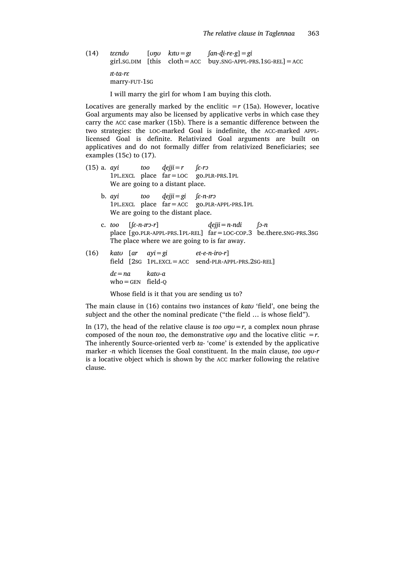(14) *tɛɛndʊ* [*ʊŋʊ kɪtʊ=gɪ ʃan-ɖi-re-g*]*=gi* girl.sG.DIM [this  $cloth = ACC$  buy.SNG-APPL-PRS.1SG-REL] = ACC *ɪt-ta-rɛ* marry-FUT-1SG

I will marry the girl for whom I am buying this cloth.

Locatives are generally marked by the enclitic  $=r$  (15a). However, locative Goal arguments may also be licensed by applicative verbs in which case they carry the ACC case marker (15b). There is a semantic difference between the two strategies: the LOC-marked Goal is indefinite, the ACC-marked APPLlicensed Goal is definite. Relativized Goal arguments are built on applicatives and do not formally differ from relativized Beneficiaries; see examples (15c) to (17).

- (15) a.  $ayi$  *too*  $dejji = r$   $\int \mathcal{E} \cdot r \mathcal{D}$ 1PL.EXCL place far=LOC go.PLR-PRS.1PL We are going to a distant place. b.  $ayi$  *too*  $dejii = gi$   $f \varepsilon$ -*n-x*<sup>2</sup> 1PL.EXCL place far=ACC go.PLR-APPL-PRS.1PL We are going to the distant place. c. *too* [*ʃɛ-n-ɪrɔ-r*] *ɖejji=n-ndi ʃɔ-n* place [go.PLR-APPL-PRS.1PL-REL] far=LOC-COP.3 be.there.SNG-PRS.3SG The place where we are going to is far away. (16) *katʊ* [*ar ayi=gi et-e-n-iro-r*]
- field [2SG 1PL.EXCL=ACC send-PLR-APPL-PRS.2SG-REL] *dɛ=na katʊ-a*  $who =$ GEN field-O

Whose field is it that you are sending us to?

The main clause in (16) contains two instances of *katʊ* 'field', one being the subject and the other the nominal predicate ("the field … is whose field").

In (17), the head of the relative clause is *too*  $*u*$ *<sub><i>y*</sub> $=$ *r*, a complex noun phrase composed of the noun *too*, the demonstrative  $\nu \nu \nu$  and the locative clitic =  $r$ . The inherently Source-oriented verb *ta-* 'come' is extended by the applicative marker *-n* which licenses the Goal constituent. In the main clause, *too ʊŋʊ-r*  is a locative object which is shown by the ACC marker following the relative clause.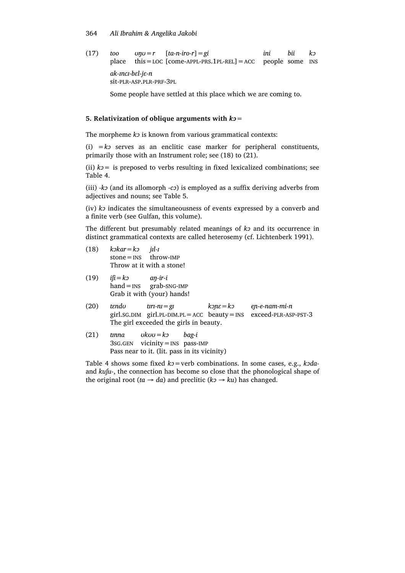#### 364 *Ali Ibrahim & Angelika Jakobi*

 $(17)$  *too*  $\nu \nu = r$  [*ta-n-iro-r*] = *gi ini bii k*<sup>2</sup> place this=LOC [come-APPL-PRS.1PL-REL]=ACC people some INS *ak-ɪncɪ-bɛl-jɛ-n* sit-PLR-ASP.PLR-PRF-3PL

Some people have settled at this place which we are coming to.

# **5. Relativization of oblique arguments with** *kɔ=*

The morpheme *kɔ* is known from various grammatical contexts:

(i) *=kɔ* serves as an enclitic case marker for peripheral constituents, primarily those with an Instrument role; see (18) to (21).

(ii)  $k$ <sup> $>$ </sup> is preposed to verbs resulting in fixed lexicalized combinations; see Table 4.

(iii) *-kɔ* (and its allomorph *-cɔ*) is employed as a suffix deriving adverbs from adjectives and nouns; see Table 5.

(iv) *kɔ* indicates the simultaneousness of events expressed by a converb and a finite verb (see Gulfan, this volume).

The different but presumably related meanings of *kɔ* and its occurrence in distinct grammatical contexts are called heterosemy (cf. Lichtenberk 1991).

- (18) *kɔkar=kɔ jɪl-ɪ*  $stone = *INS*$  throw-IMP Throw at it with a stone!
- (19) *iʃi=kɔ aŋ-ir-i*  $hand = **INS**$  grab-SNG-IMP Grab it with (your) hands!
- (20) *tɛndʊ tɪrɪ-nɪ=gɪ kɔɲɛ=kɔ eɲ-e-nam-mi-n* girl.sG.DIM girl.PL-DIM.PL=ACC beauty=INS exceed-PLR-ASP-PST-3 The girl exceeded the girls in beauty.
- (21) *tɪnna ʊkʊʊ=kɔ bag-i* 3SG.GEN vicinity=INS pass-IMP Pass near to it. (lit. pass in its vicinity)

Table 4 shows some fixed  $k$ <sup>2</sup> = verb combinations. In some cases, e.g., *k*<sup>2</sup>*da*and *kuʃu-*, the connection has become so close that the phonological shape of the original root ( $ta \rightarrow da$ ) and preclitic ( $k \rightarrow ku$ ) has changed.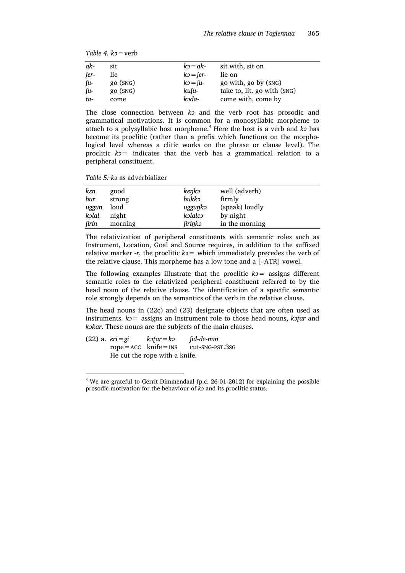|  |  | Table 4. $k_2$ = verb |
|--|--|-----------------------|
|--|--|-----------------------|

| ak-        | sit                              | $k_2 = a k$ -               | sit with, sit on            |  |
|------------|----------------------------------|-----------------------------|-----------------------------|--|
| jer-       | lie                              | $k_2$ = jer-                | lie on                      |  |
| $\int u$ - | $\rm g$ <sub>O</sub> $\rm (SNG)$ | $k_2 = \lfloor u - \rfloor$ | go with, go by (SNG)        |  |
| fu-        | go (SNG)                         | kufu-                       | take to, lit. go with (SNG) |  |
| ta-        | come                             | kəda-                       | come with, come by          |  |

The close connection between *kɔ* and the verb root has prosodic and grammatical motivations. It is common for a monosyllabic morpheme to attach to a polysyllabic host morpheme.<sup>4</sup> Here the host is a verb and *k*<sup>2</sup> has become its proclitic (rather than a prefix which functions on the morphological level whereas a clitic works on the phrase or clause level). The proclitic *kɔ=* indicates that the verb has a grammatical relation to a peripheral constituent.

*Table 5: kɔ* as adverbializer

| kεn   | good    | kenko   | well (adverb)  |
|-------|---------|---------|----------------|
| bur   | strong  | bukko   | firmly         |
| uggun | loud    | ugguŋkɔ | (speak) loudly |
| kolal | night   | kolalco | by night       |
| firin | morning | firinko | in the morning |

The relativization of peripheral constituents with semantic roles such as Instrument, Location, Goal and Source requires, in addition to the suffixed relative marker *-r*, the proclitic  $k$ <sup> $>$ </sup> which immediately precedes the verb of the relative clause. This morpheme has a low tone and a [–ATR] vowel.

The following examples illustrate that the proclitic  $k_2$  = assigns different semantic roles to the relativized peripheral constituent referred to by the head noun of the relative clause. The identification of a specific semantic role strongly depends on the semantics of the verb in the relative clause.

The head nouns in (22c) and (23) designate objects that are often used as instruments. *kɔ=* assigns an Instrument role to those head nouns, *kɔʈar* and *kɔkar*. These nouns are the subjects of the main clauses.

(22) a.  $e\vec{r} = g\vec{i}$  *k* $\vec{r}$ ar = k $\vec{r}$  *fid-dε-min*  $rope = ACC$  knife=INS cut-SNG-PST.3SG He cut the rope with a knife.

 <sup>4</sup> We are grateful to Gerrit Dimmendaal (p.c. 26-01-2012) for explaining the possible prosodic motivation for the behaviour of *kɔ* and its proclitic status.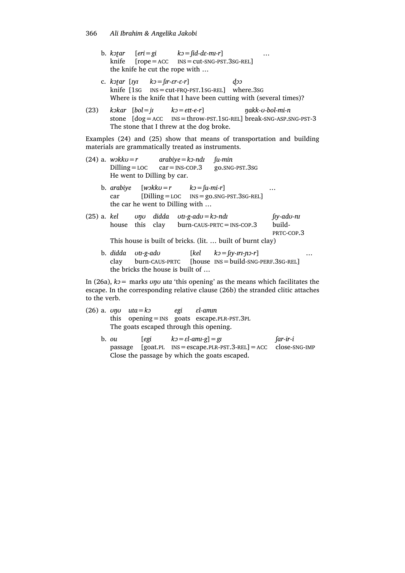- b. *kɔʈar* [*eri=gi kɔ=ʃid-dɛ-mɪ-r*] *…* knife [rope=ACC INS=cut-SNG-PST.3SG-REL] the knife he cut the rope with …
- c. *kɔʈar* [*ɪyɪ kɔ=ʃɪr-ɛr-ɛ-r*] *ɖɔɔ* knife [1SG INS=cut-FRQ-PST.1SG-REL] where.3SG Where is the knife that I have been cutting with (several times)?
- (23) *kɔkar* [*bol=jɪ kɔ=ett-e-r*] *ŋakk-ʊ-bol-mi-n* stone [dog=ACC INS=throw-PST.1SG-REL] break-SNG-ASP.SNG-PST-3 The stone that I threw at the dog broke.

Examples (24) and (25) show that means of transportation and building materials are grammatically treated as instruments.

- (24) a. *wɔkkʊ=r arabiye=kɔ-ndɪ ʃu-min* Dilling=LOC car=INS-COP.3 go.SNG-PST.3SG He went to Dilling by car. b. *arabiye*  $[w \times k \cdot \sigma = r$   $k \cdot \sigma = [u \cdot m \cdot \sigma]$  … car [Dilling=LOC INS=go.SNG-PST.3SG-REL] the car he went to Dilling with … (25) a. *kel ʊŋʊ didda ʊtɪ-g-adʊ=kɔ-ndɪ ʃɪy-adʊ-nɪ* house this clay burn-CAUS-PRTC=INS-COP.3 build-PRTC-COP.3 This house is built of bricks. (lit. … built of burnt clay)
	- b. *didda ʊtɪ-g-adʊ* [*kel kɔ=ʃɪy-ɪrɪ-ɲɔ-r*] *…* clay burn-CAUS-PRTC [house INS=build-SNG-PERF.3SG-REL] the bricks the house is built of …

In (26a), *kɔ=* marks *ʊŋʊ uta* 'this opening' as the means which facilitates the escape. In the corresponding relative clause (26b) the stranded clitic attaches to the verb.

- (26) a. *ʊŋʊ uta=kɔ egi ɛl-amɪn* this opening=INS goats escape.PLR-PST.3PL The goats escaped through this opening.
	- b. *ou*  $[egi \quad k\text{ }j = \text{ }e1\text{-}am_1\text{-}g] = g1$   $[ar-ir-i]$ passage [goat.PL INS=escape.PLR-PST.3-REL]=ACC close-SNG-IMP Close the passage by which the goats escaped.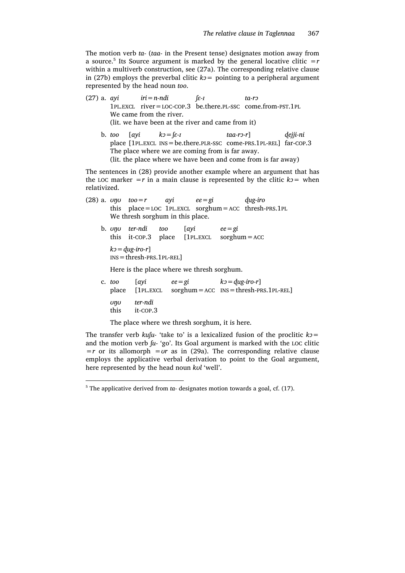The motion verb *ta-* (*taa-* in the Present tense) designates motion away from a source. <sup>5</sup> Its Source argument is marked by the general locative clitic *=r* within a multiverb construction, see (27a). The corresponding relative clause in (27b) employs the preverbal clitic  $k$ <sup> $>$ </sup> pointing to a peripheral argument represented by the head noun *too*.

|              |  | (27) a. ayi $iri = n$ -ndi $\int \mathcal{E}^{-1}$ |                                                              | ta-ro                                                                          |          |
|--------------|--|----------------------------------------------------|--------------------------------------------------------------|--------------------------------------------------------------------------------|----------|
|              |  |                                                    |                                                              | $1PL. EXCL$ river = LOC-COP.3 be.there.PL-SSC come.from-PST.1PL                |          |
|              |  | We came from the river.                            |                                                              |                                                                                |          |
|              |  |                                                    | (lit. we have been at the river and came from it)            |                                                                                |          |
|              |  | b. too [ayi $k_2 = \lceil \varepsilon - I \rceil$  | $taa$ -rɔ-r]                                                 |                                                                                | dejji-ni |
|              |  |                                                    |                                                              | place [1PL.EXCL INS = be.there.PLR-SSC come-PRS.1PL-REL] far-COP.3             |          |
|              |  |                                                    | The place where we are coming from is far away.              |                                                                                |          |
|              |  |                                                    |                                                              | (lit. the place where we have been and come from is far away)                  |          |
|              |  |                                                    |                                                              | The sentences in (28) provide another example where an argument that has       |          |
| relativized. |  |                                                    |                                                              | the LOC marker $=r$ in a main clause is represented by the clitic $k_2$ = when |          |
|              |  |                                                    | (28) a. $\upsilon \eta \upsilon$ too = r ayi ee = gi dug-iro |                                                                                |          |
|              |  |                                                    |                                                              | this $place = LOC 1PL.EXCL sorghum = ACC threshold.$                           |          |
|              |  | We thresh sorghum in this place.                   |                                                              |                                                                                |          |
|              |  |                                                    | b. $\upsilon \eta \upsilon$ ter-ndi too [ayi ee=gi           |                                                                                |          |
|              |  |                                                    | this it-cop.3 place $[1PL.EXCL$ sorghum = ACC                |                                                                                |          |
|              |  | $k_2 = du$ in $r_2$                                |                                                              |                                                                                |          |

 $k$ <sup>*z*</sup> = *dug-iro-r*] INS=thresh-PRS.1PL-REL]

Here is the place where we thresh sorghum.

| c. too      |                     | [ayi $ee = gi$ $k3 = dug-iro-r$ ] | place $[1PL. EXCL$ sorghum = ACC $INS = threshold. PRS.1PL-REL]$ |
|-------------|---------------------|-----------------------------------|------------------------------------------------------------------|
| unu<br>this | ter-ndi<br>it-COP.3 |                                   |                                                                  |

The place where we thresh sorghum, it is here.

The transfer verb  $kufu$ - 'take to' is a lexicalized fusion of the proclitic  $k2 =$ and the motion verb *ʃu-* 'go'. Its Goal argument is marked with the LOC clitic *=r* or its allomorph *=ʊr* as in (29a). The corresponding relative clause employs the applicative verbal derivation to point to the Goal argument, here represented by the head noun *kʊl* 'well'.

<sup>&</sup>lt;sup>5</sup> The applicative derived from *ta*-designates motion towards a goal, cf. (17).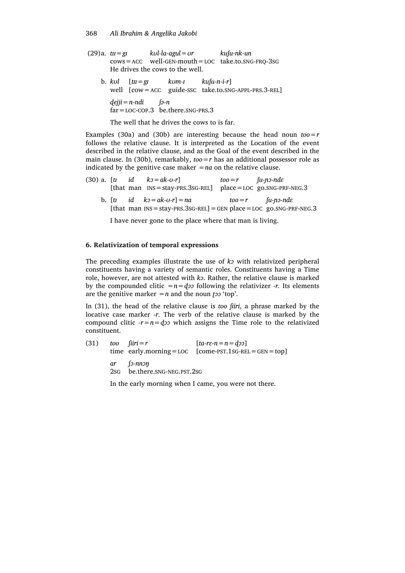- (29)a. *tɪɪ=gɪ kʊl-la-agul=ʊr kuʃu-nk-un* cows=ACC well-GEN-mouth=LOC take.to.SNG-FRQ-3SG He drives the cows to the well.
	- b.  $k \circ l$   $\lceil t \cdot t \rceil = \mathfrak{g} \rceil$   $k \circ m l$   $k \circ l \lceil t \cdot t \rceil$ well [cow=ACC guide-SSC take.to.SNG-APPL-PRS.3-REL] *ɖejji=n-ndi ʃɔ-n* far=LOC-COP.3 be.there.SNG-PRS.3

The well that he drives the cows to is far.

Examples (30a) and (30b) are interesting because the head noun *too=r* follows the relative clause. It is interpreted as the Location of the event described in the relative clause, and as the Goal of the event described in the main clause. In (30b), remarkably, *too=r* has an additional possessor role as indicated by the genitive case maker  $=na$  on the relative clause.

- (30) a.  $[t \t id \t k = ak-v-r]$   $too=r$   $[t \tcdot p \tcdot nd \tcdot z]$ [that man INS=stay-PRS.3SG-REL] place=LOC go.SNG-PRF-NEG.3
	- b.  $\lceil t \rceil$   $id$   $k$ <sup>2</sup>  $=$ ak-*v*- $r$  $\rceil$  $=$ na  $\qquad$   $to$   $\qquad$   $t$  $i$  $i$  $i$  $i$  $n$  $i$  $n$  $i$  $n$  $i$  $n$  $i$  $n$  $i$  $n$  $i$  $n$  $i$  $n$  $n$  $i$  $n$  $n$  $n$  $n$  $n$  $n$  $n$  $n$  $n$  $n$  $-$ [that man  $INS = stay-PRS.3SG-REL$ ] = GEN place = LOC go.SNG-PRF-NEG.3

I have never gone to the place where that man is living.

#### **6. Relativization of temporal expressions**

The preceding examples illustrate the use of *kɔ* with relativized peripheral constituents having a variety of semantic roles. Constituents having a Time role, however, are not attested with *kɔ*. Rather, the relative clause is marked by the compounded clitic  $=n=$ *d* $\infty$  following the relativizer *-r*. Its elements are the genitive marker  $=n$  and the noun *top*'.

In (31), the head of the relative clause is *too ʃiiri*, a phrase marked by the locative case marker -*r*. The verb of the relative clause is marked by the compound clitic  $-r=n=q$ *zo* which assigns the Time role to the relativized constituent.

| (31) |     | too fiiri $=r$                                        | $\lceil ta-r\varepsilon-n=n=d\infty\rceil$        |
|------|-----|-------------------------------------------------------|---------------------------------------------------|
|      |     |                                                       | time early.morning=LOC [come-PST.1sG-REL=GEN=top] |
|      | 2sg | $ar$ $\lceil 2-nn \rceil$<br>be.there.snG-NEG.PST.2SG |                                                   |

In the early morning when I came, you were not there.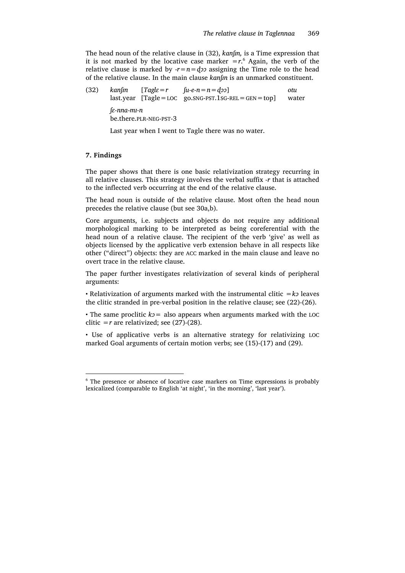The head noun of the relative clause in (32), *kanʃɪn,* is a Time expression that it is not marked by the locative case marker  $=r^6$  Again, the verb of the relative clause is marked by  $-r=n=q$  *jo* assigning the Time role to the head of the relative clause. In the main clause *kanʃɪn* is an unmarked constituent.

| (32) |                         |  | $kan[m$ $\lceil Tagl\varepsilon = r$ $\lceil uc - n \rceil = d \rceil$ | otu   |
|------|-------------------------|--|------------------------------------------------------------------------|-------|
|      | lε-nna-m1-n             |  | $last.year$ $[Tagle = LOC$ $go.SNG-PST.1SG-REL = GEN = top]$           | water |
|      | be.there.plr.-NEG-PST-3 |  |                                                                        |       |

Last year when I went to Tagle there was no water.

## **7. Findings**

The paper shows that there is one basic relativization strategy recurring in all relative clauses. This strategy involves the verbal suffix *-r* that is attached to the inflected verb occurring at the end of the relative clause.

The head noun is outside of the relative clause. Most often the head noun precedes the relative clause (but see 30a,b).

Core arguments, i.e. subjects and objects do not require any additional morphological marking to be interpreted as being coreferential with the head noun of a relative clause. The recipient of the verb 'give' as well as objects licensed by the applicative verb extension behave in all respects like other ("direct") objects: they are ACC marked in the main clause and leave no overt trace in the relative clause.

The paper further investigates relativization of several kinds of peripheral arguments:

• Relativization of arguments marked with the instrumental clitic *=kɔ* leaves the clitic stranded in pre-verbal position in the relative clause; see (22)-(26).

• The same proclitic *kɔ=* also appears when arguments marked with the LOC clitic *= r* are relativized; see  $(27)-(28)$ .

• Use of applicative verbs is an alternative strategy for relativizing LOC marked Goal arguments of certain motion verbs; see (15)-(17) and (29).

<sup>&</sup>lt;sup>6</sup> The presence or absence of locative case markers on Time expressions is probably lexicalized (comparable to English 'at night', 'in the morning', 'last year').